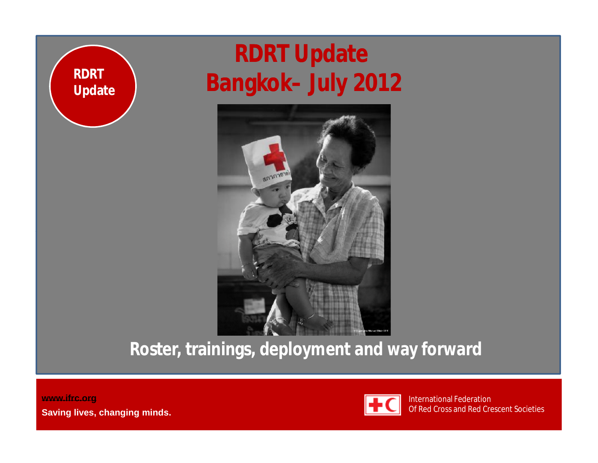

#### **RDRT Update Bangkok– July 2012**



**Roster, trainings, deployment and way forward**

**[www.ifrc.org](http://www.ifrc.org) Saving lives, changing minds.**

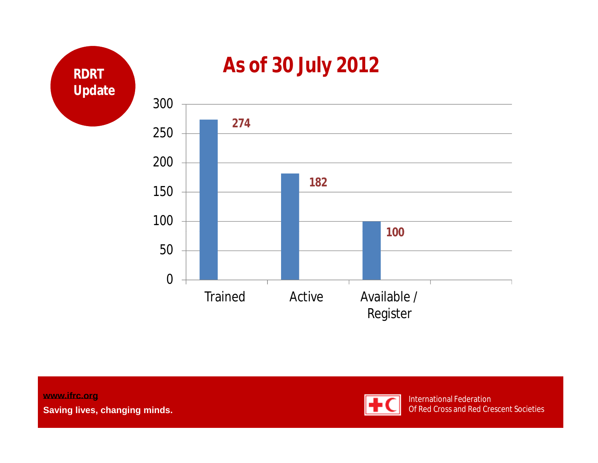

**[www.ifrc.org](http://www.ifrc.org) Saving lives, changing minds.**

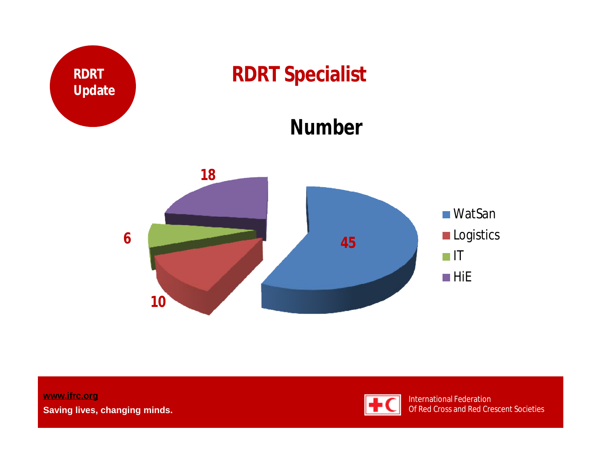

**[www.ifrc.org](http://www.ifrc.org) Saving lives, changing minds.**

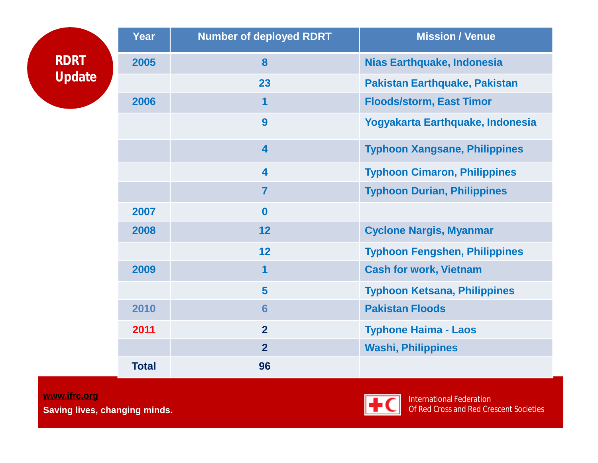|                       | Year         | <b>Number of deployed RDRT</b> | <b>Mission / Venue</b>               |  |
|-----------------------|--------------|--------------------------------|--------------------------------------|--|
| <b>RDRT</b><br>Update | 2005         | 8                              | <b>Nias Earthquake, Indonesia</b>    |  |
|                       |              | 23                             | <b>Pakistan Earthquake, Pakistan</b> |  |
|                       | 2006         | 1                              | <b>Floods/storm, East Timor</b>      |  |
|                       |              | 9                              | Yogyakarta Earthquake, Indonesia     |  |
|                       |              | 4                              | <b>Typhoon Xangsane, Philippines</b> |  |
|                       |              | $\overline{\mathbf{4}}$        | <b>Typhoon Cimaron, Philippines</b>  |  |
|                       |              | $\overline{7}$                 | <b>Typhoon Durian, Philippines</b>   |  |
|                       | 2007         | $\mathbf 0$                    |                                      |  |
|                       | 2008         | 12                             | <b>Cyclone Nargis, Myanmar</b>       |  |
|                       |              | 12                             | <b>Typhoon Fengshen, Philippines</b> |  |
|                       | 2009         | 1                              | <b>Cash for work, Vietnam</b>        |  |
|                       |              | 5                              | <b>Typhoon Ketsana, Philippines</b>  |  |
|                       | 2010         | $6\phantom{1}6$                | <b>Pakistan Floods</b>               |  |
|                       | 2011         | $\overline{2}$                 | <b>Typhone Haima - Laos</b>          |  |
|                       |              | $\overline{2}$                 | <b>Washi, Philippines</b>            |  |
|                       | <b>Total</b> | 96                             |                                      |  |

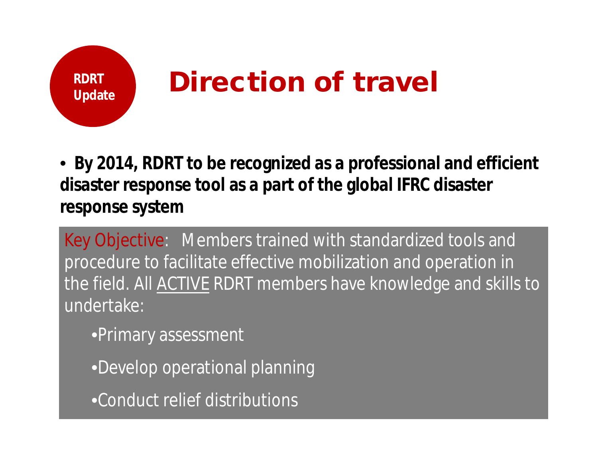

• **By 2014, RDRT to be recognized as a professional and efficient disaster response tool as a part of the global IFRC disaster response system**

Key Objective: Members trained with standardized tools and procedure to facilitate effective mobilization and operation in the field. All ACTIVE RDRT members have knowledge and skills to undertake:

•Primary assessment

•Develop operational planning

•Conduct relief distributions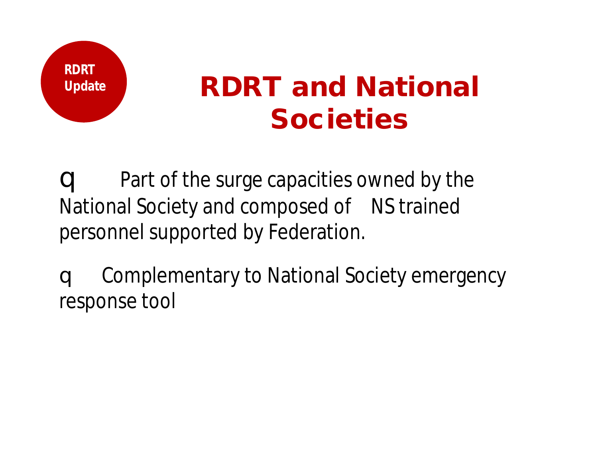

### **Update RDRT and National Societies**

q Part of the surge capacities owned by the National Society and composed of NS trained personnel supported by Federation.

q Complementary to National Society emergency response tool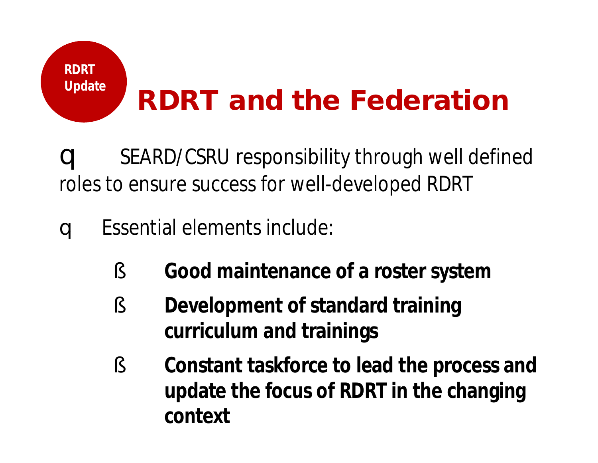## **Update RDRT and the Federation**

q SEARD/CSRU responsibility through well defined roles to ensure success for well-developed RDRT

q Essential elements include:

**RDRT** 

- § **Good maintenance of a roster system**
- § **Development of standard training curriculum and trainings**
- § **Constant taskforce to lead the process and update the focus of RDRT in the changing context**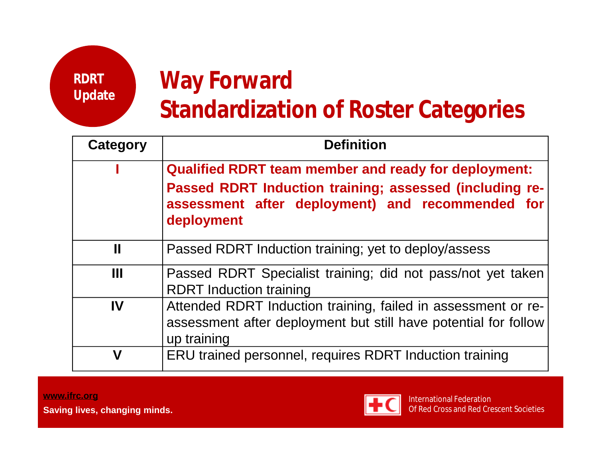**RDRT Update**

#### **Way Forward Standardization of Roster Categories**

| Category     | <b>Definition</b>                                                                                                                                                          |  |  |  |  |  |  |
|--------------|----------------------------------------------------------------------------------------------------------------------------------------------------------------------------|--|--|--|--|--|--|
|              | <b>Qualified RDRT team member and ready for deployment:</b><br>Passed RDRT Induction training; assessed (including re-<br>assessment after deployment) and recommended for |  |  |  |  |  |  |
|              | deployment                                                                                                                                                                 |  |  |  |  |  |  |
| $\mathbf{I}$ | Passed RDRT Induction training; yet to deploy/assess                                                                                                                       |  |  |  |  |  |  |
| Ш            | Passed RDRT Specialist training; did not pass/not yet taken<br><b>RDRT</b> Induction training                                                                              |  |  |  |  |  |  |
| IV           | Attended RDRT Induction training, failed in assessment or re-<br>assessment after deployment but still have potential for follow<br>up training                            |  |  |  |  |  |  |
| V            | ERU trained personnel, requires RDRT Induction training                                                                                                                    |  |  |  |  |  |  |

**[www.ifrc.org](http://www.ifrc.org) Saving lives, changing minds.**

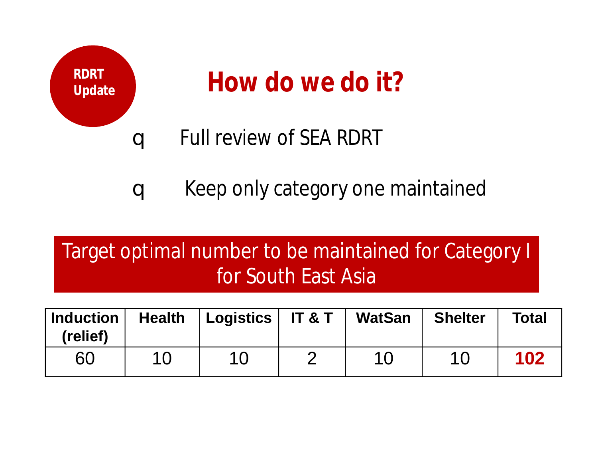

q Keep only category one maintained

#### Target optimal number to be maintained for Category I for South East Asia

| <b>Induction</b><br>(relief) | <b>Health</b> | Logistics   IT & T | <b>WatSan</b> | <b>Shelter</b> | <b>Total</b> |
|------------------------------|---------------|--------------------|---------------|----------------|--------------|
| 60                           | 10            | 10                 | 10            | 10             | 102          |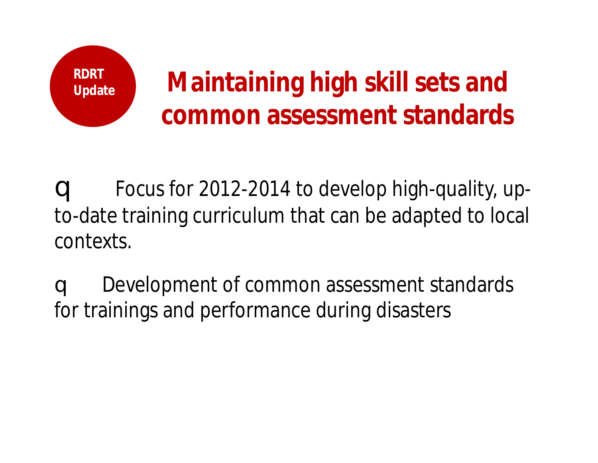

q Focus for 2012-2014 to develop high-quality, upto-date training curriculum that can be adapted to local contexts.

q Development of common assessment standards for trainings and performance during disasters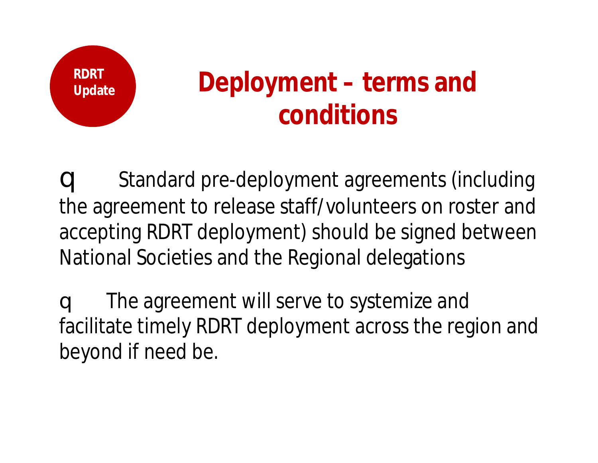

### **Update Deployment – terms and conditions**

q Standard pre-deployment agreements (including the agreement to release staff/volunteers on roster and accepting RDRT deployment) should be signed between National Societies and the Regional delegations

q The agreement will serve to systemize and facilitate timely RDRT deployment across the region and beyond if need be.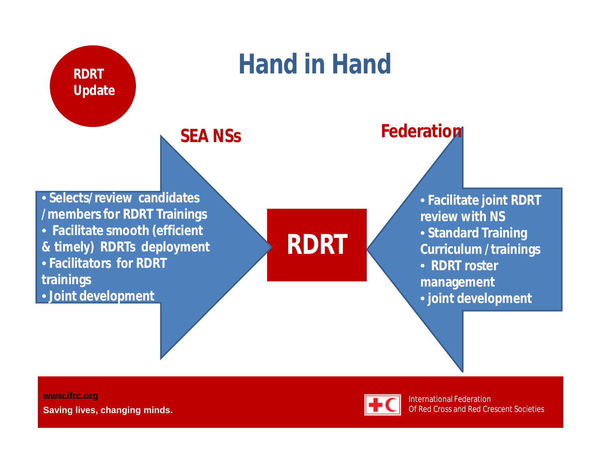

**[www.ifrc.org](http://www.ifrc.org) Saving lives, changing minds.**